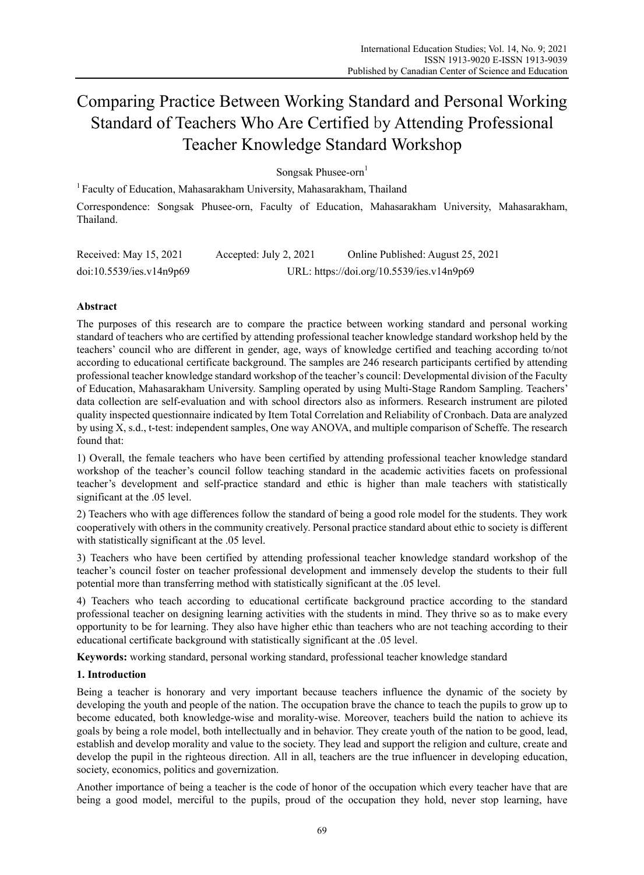# Comparing Practice Between Working Standard and Personal Working Standard of Teachers Who Are Certified by Attending Professional Teacher Knowledge Standard Workshop

Songsak Phusee-orn $<sup>1</sup>$ </sup>

<sup>1</sup> Faculty of Education, Mahasarakham University, Mahasarakham, Thailand

Correspondence: Songsak Phusee-orn, Faculty of Education, Mahasarakham University, Mahasarakham, Thailand.

| Received: May 15, 2021   | Accepted: July 2, 2021 | Online Published: August 25, 2021         |
|--------------------------|------------------------|-------------------------------------------|
| doi:10.5539/ies.v14n9p69 |                        | URL: https://doi.org/10.5539/ies.v14n9p69 |

# **Abstract**

The purposes of this research are to compare the practice between working standard and personal working standard of teachers who are certified by attending professional teacher knowledge standard workshop held by the teachers' council who are different in gender, age, ways of knowledge certified and teaching according to/not according to educational certificate background. The samples are 246 research participants certified by attending professional teacher knowledge standard workshop of the teacher's council: Developmental division of the Faculty of Education, Mahasarakham University. Sampling operated by using Multi-Stage Random Sampling. Teachers' data collection are self-evaluation and with school directors also as informers. Research instrument are piloted quality inspected questionnaire indicated by Item Total Correlation and Reliability of Cronbach. Data are analyzed by using X, s.d., t-test: independent samples, One way ANOVA, and multiple comparison of Scheffe. The research found that:

1) Overall, the female teachers who have been certified by attending professional teacher knowledge standard workshop of the teacher's council follow teaching standard in the academic activities facets on professional teacher's development and self-practice standard and ethic is higher than male teachers with statistically significant at the .05 level.

2) Teachers who with age differences follow the standard of being a good role model for the students. They work cooperatively with others in the community creatively. Personal practice standard about ethic to society is different with statistically significant at the .05 level.

3) Teachers who have been certified by attending professional teacher knowledge standard workshop of the teacher's council foster on teacher professional development and immensely develop the students to their full potential more than transferring method with statistically significant at the .05 level.

4) Teachers who teach according to educational certificate background practice according to the standard professional teacher on designing learning activities with the students in mind. They thrive so as to make every opportunity to be for learning. They also have higher ethic than teachers who are not teaching according to their educational certificate background with statistically significant at the .05 level.

**Keywords:** working standard, personal working standard, professional teacher knowledge standard

# **1. Introduction**

Being a teacher is honorary and very important because teachers influence the dynamic of the society by developing the youth and people of the nation. The occupation brave the chance to teach the pupils to grow up to become educated, both knowledge-wise and morality-wise. Moreover, teachers build the nation to achieve its goals by being a role model, both intellectually and in behavior. They create youth of the nation to be good, lead, establish and develop morality and value to the society. They lead and support the religion and culture, create and develop the pupil in the righteous direction. All in all, teachers are the true influencer in developing education, society, economics, politics and governization.

Another importance of being a teacher is the code of honor of the occupation which every teacher have that are being a good model, merciful to the pupils, proud of the occupation they hold, never stop learning, have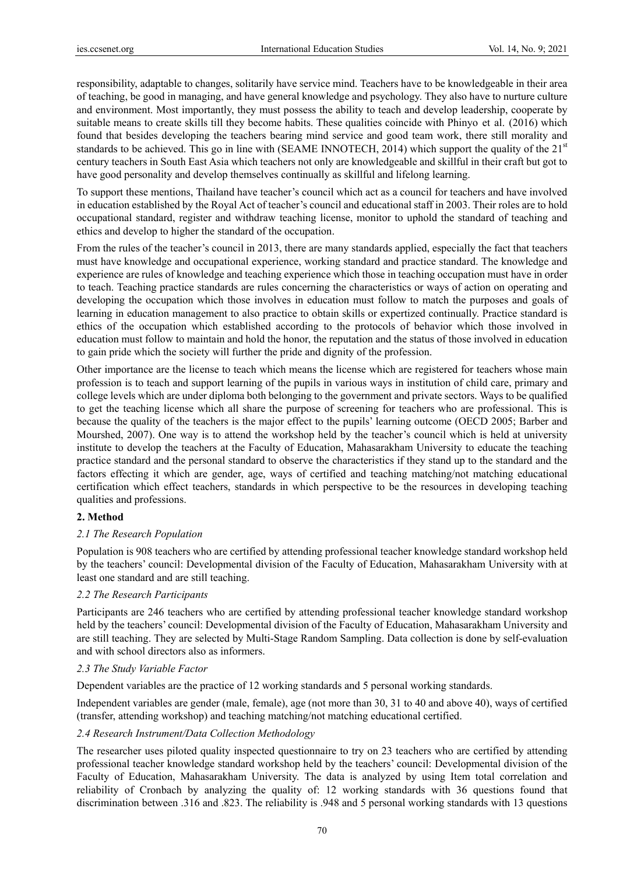responsibility, adaptable to changes, solitarily have service mind. Teachers have to be knowledgeable in their area of teaching, be good in managing, and have general knowledge and psychology. They also have to nurture culture and environment. Most importantly, they must possess the ability to teach and develop leadership, cooperate by suitable means to create skills till they become habits. These qualities coincide with Phinyo et al. (2016) which found that besides developing the teachers bearing mind service and good team work, there still morality and standards to be achieved. This go in line with (SEAME INNOTECH, 2014) which support the quality of the  $21<sup>st</sup>$ century teachers in South East Asia which teachers not only are knowledgeable and skillful in their craft but got to have good personality and develop themselves continually as skillful and lifelong learning.

To support these mentions, Thailand have teacher's council which act as a council for teachers and have involved in education established by the Royal Act of teacher's council and educational staff in 2003. Their roles are to hold occupational standard, register and withdraw teaching license, monitor to uphold the standard of teaching and ethics and develop to higher the standard of the occupation.

From the rules of the teacher's council in 2013, there are many standards applied, especially the fact that teachers must have knowledge and occupational experience, working standard and practice standard. The knowledge and experience are rules of knowledge and teaching experience which those in teaching occupation must have in order to teach. Teaching practice standards are rules concerning the characteristics or ways of action on operating and developing the occupation which those involves in education must follow to match the purposes and goals of learning in education management to also practice to obtain skills or expertized continually. Practice standard is ethics of the occupation which established according to the protocols of behavior which those involved in education must follow to maintain and hold the honor, the reputation and the status of those involved in education to gain pride which the society will further the pride and dignity of the profession.

Other importance are the license to teach which means the license which are registered for teachers whose main profession is to teach and support learning of the pupils in various ways in institution of child care, primary and college levels which are under diploma both belonging to the government and private sectors. Ways to be qualified to get the teaching license which all share the purpose of screening for teachers who are professional. This is because the quality of the teachers is the major effect to the pupils' learning outcome (OECD 2005; Barber and Mourshed, 2007). One way is to attend the workshop held by the teacher's council which is held at university institute to develop the teachers at the Faculty of Education, Mahasarakham University to educate the teaching practice standard and the personal standard to observe the characteristics if they stand up to the standard and the factors effecting it which are gender, age, ways of certified and teaching matching/not matching educational certification which effect teachers, standards in which perspective to be the resources in developing teaching qualities and professions.

## **2. Method**

#### *2.1 The Research Population*

Population is 908 teachers who are certified by attending professional teacher knowledge standard workshop held by the teachers' council: Developmental division of the Faculty of Education, Mahasarakham University with at least one standard and are still teaching.

#### *2.2 The Research Participants*

Participants are 246 teachers who are certified by attending professional teacher knowledge standard workshop held by the teachers' council: Developmental division of the Faculty of Education, Mahasarakham University and are still teaching. They are selected by Multi-Stage Random Sampling. Data collection is done by self-evaluation and with school directors also as informers.

## *2.3 The Study Variable Factor*

Dependent variables are the practice of 12 working standards and 5 personal working standards.

Independent variables are gender (male, female), age (not more than 30, 31 to 40 and above 40), ways of certified (transfer, attending workshop) and teaching matching/not matching educational certified.

#### *2.4 Research Instrument/Data Collection Methodology*

The researcher uses piloted quality inspected questionnaire to try on 23 teachers who are certified by attending professional teacher knowledge standard workshop held by the teachers' council: Developmental division of the Faculty of Education, Mahasarakham University. The data is analyzed by using Item total correlation and reliability of Cronbach by analyzing the quality of: 12 working standards with 36 questions found that discrimination between .316 and .823. The reliability is .948 and 5 personal working standards with 13 questions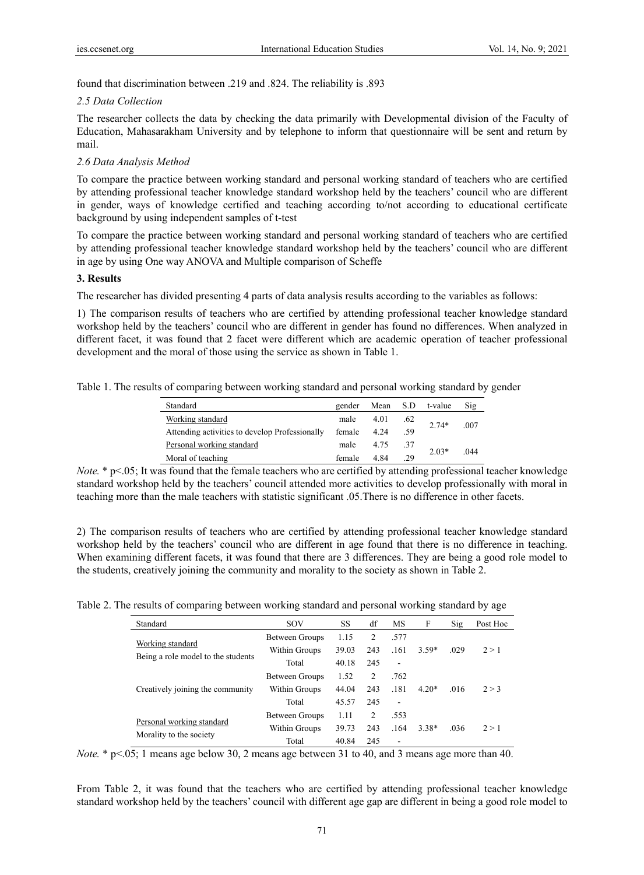found that discrimination between .219 and .824. The reliability is .893

### *2.5 Data Collection*

The researcher collects the data by checking the data primarily with Developmental division of the Faculty of Education, Mahasarakham University and by telephone to inform that questionnaire will be sent and return by mail.

## *2.6 Data Analysis Method*

To compare the practice between working standard and personal working standard of teachers who are certified by attending professional teacher knowledge standard workshop held by the teachers' council who are different in gender, ways of knowledge certified and teaching according to/not according to educational certificate background by using independent samples of t-test

To compare the practice between working standard and personal working standard of teachers who are certified by attending professional teacher knowledge standard workshop held by the teachers' council who are different in age by using One way ANOVA and Multiple comparison of Scheffe

## **3. Results**

The researcher has divided presenting 4 parts of data analysis results according to the variables as follows:

1) The comparison results of teachers who are certified by attending professional teacher knowledge standard workshop held by the teachers' council who are different in gender has found no differences. When analyzed in different facet, it was found that 2 facet were different which are academic operation of teacher professional development and the moral of those using the service as shown in Table 1.

Table 1. The results of comparing between working standard and personal working standard by gender

| Standard                                       | gender | Mean S.D |     | t-value | Sig  |
|------------------------------------------------|--------|----------|-----|---------|------|
| Working standard                               | male   | 4.01     | .62 | $2.74*$ | .007 |
| Attending activities to develop Professionally | female | 4.24     | .59 |         |      |
| Personal working standard                      | male   | 4.75     | .37 | $2.03*$ | .044 |
| Moral of teaching                              | female | 4.84     | .29 |         |      |

*Note.* \* p<.05; It was found that the female teachers who are certified by attending professional teacher knowledge standard workshop held by the teachers' council attended more activities to develop professionally with moral in teaching more than the male teachers with statistic significant .05.There is no difference in other facets.

2) The comparison results of teachers who are certified by attending professional teacher knowledge standard workshop held by the teachers' council who are different in age found that there is no difference in teaching. When examining different facets, it was found that there are 3 differences. They are being a good role model to the students, creatively joining the community and morality to the society as shown in Table 2.

Table 2. The results of comparing between working standard and personal working standard by age

| Standard                                               | SOV            | SS    | df             | MS                       | F       | $\mathrm{Sig}$ | Post Hoc |
|--------------------------------------------------------|----------------|-------|----------------|--------------------------|---------|----------------|----------|
| Working standard<br>Being a role model to the students | Between Groups | 1.15  | $\overline{c}$ | .577                     |         |                |          |
|                                                        | Within Groups  | 39.03 | 243            | .161                     | $3.59*$ | .029           | 2 > 1    |
|                                                        | Total          | 40.18 | 245            | $\overline{a}$           |         |                |          |
| Creatively joining the community                       | Between Groups | 1.52  | $\overline{c}$ | .762                     |         |                |          |
|                                                        | Within Groups  | 44.04 | 243            | .181                     | $4.20*$ | .016           | 2 > 3    |
|                                                        | Total          | 45.57 | 245            | $\overline{\phantom{0}}$ |         |                |          |
| Personal working standard<br>Morality to the society   | Between Groups | 1.11  | $\overline{c}$ | .553                     |         |                |          |
|                                                        | Within Groups  | 39.73 | 243            | .164                     | $3.38*$ | .036           | 2 > 1    |
|                                                        | Total          | 40.84 | 245            | ٠                        |         |                |          |

*Note.* \* p<.05; 1 means age below 30, 2 means age between 31 to 40, and 3 means age more than 40.

From Table 2, it was found that the teachers who are certified by attending professional teacher knowledge standard workshop held by the teachers' council with different age gap are different in being a good role model to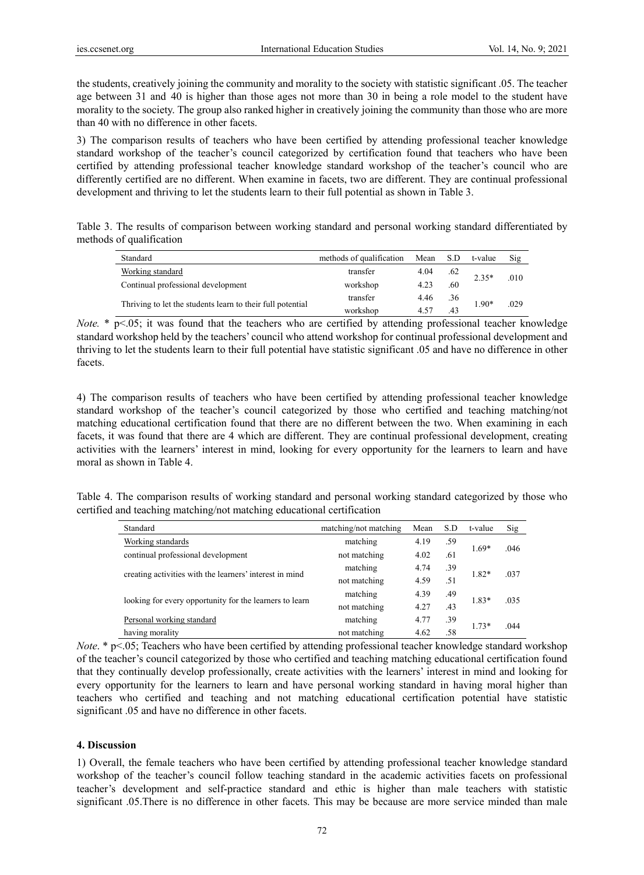the students, creatively joining the community and morality to the society with statistic significant .05. The teacher age between 31 and 40 is higher than those ages not more than 30 in being a role model to the student have morality to the society. The group also ranked higher in creatively joining the community than those who are more than 40 with no difference in other facets.

3) The comparison results of teachers who have been certified by attending professional teacher knowledge standard workshop of the teacher's council categorized by certification found that teachers who have been certified by attending professional teacher knowledge standard workshop of the teacher's council who are differently certified are no different. When examine in facets, two are different. They are continual professional development and thriving to let the students learn to their full potential as shown in Table 3.

Table 3. The results of comparison between working standard and personal working standard differentiated by methods of qualification

| Standard                                                   | methods of qualification | Mean | S.D     | t-value | Sig  |
|------------------------------------------------------------|--------------------------|------|---------|---------|------|
| Working standard                                           | transfer<br>4.04<br>.62  |      | $2.35*$ |         |      |
| Continual professional development                         | workshop                 | 4.23 | .60     |         | .010 |
| Thriving to let the students learn to their full potential | transfer                 | 4.46 | .36     | 1.90*   | .029 |
|                                                            | workshop                 | 4.57 | .43     |         |      |

*Note.* \* p<.05; it was found that the teachers who are certified by attending professional teacher knowledge standard workshop held by the teachers' council who attend workshop for continual professional development and thriving to let the students learn to their full potential have statistic significant .05 and have no difference in other facets.

4) The comparison results of teachers who have been certified by attending professional teacher knowledge standard workshop of the teacher's council categorized by those who certified and teaching matching/not matching educational certification found that there are no different between the two. When examining in each facets, it was found that there are 4 which are different. They are continual professional development, creating activities with the learners' interest in mind, looking for every opportunity for the learners to learn and have moral as shown in Table 4.

Table 4. The comparison results of working standard and personal working standard categorized by those who certified and teaching matching/not matching educational certification

| Standard                                                | matching/not matching | Mean        | S.D | t-value | Sig  |
|---------------------------------------------------------|-----------------------|-------------|-----|---------|------|
| Working standards                                       | matching              | 4.19        | .59 | $1.69*$ |      |
| continual professional development                      | not matching          | 4.02        | .61 |         | .046 |
| creating activities with the learners' interest in mind | matching              | 4.74        | .39 |         |      |
|                                                         | not matching          | 4.59<br>.51 |     | 1.82*   | .037 |
|                                                         | matching              | 4.39        | .49 | $1.83*$ | .035 |
| looking for every opportunity for the learners to learn | not matching          | 4.27        | .43 |         |      |
| Personal working standard                               | matching              | 4.77        | .39 | $1.73*$ |      |
| having morality                                         | not matching          | 4.62        | .58 |         | .044 |

*Note*. \* p<.05; Teachers who have been certified by attending professional teacher knowledge standard workshop of the teacher's council categorized by those who certified and teaching matching educational certification found that they continually develop professionally, create activities with the learners' interest in mind and looking for every opportunity for the learners to learn and have personal working standard in having moral higher than teachers who certified and teaching and not matching educational certification potential have statistic significant .05 and have no difference in other facets.

# **4. Discussion**

1) Overall, the female teachers who have been certified by attending professional teacher knowledge standard workshop of the teacher's council follow teaching standard in the academic activities facets on professional teacher's development and self-practice standard and ethic is higher than male teachers with statistic significant .05.There is no difference in other facets. This may be because are more service minded than male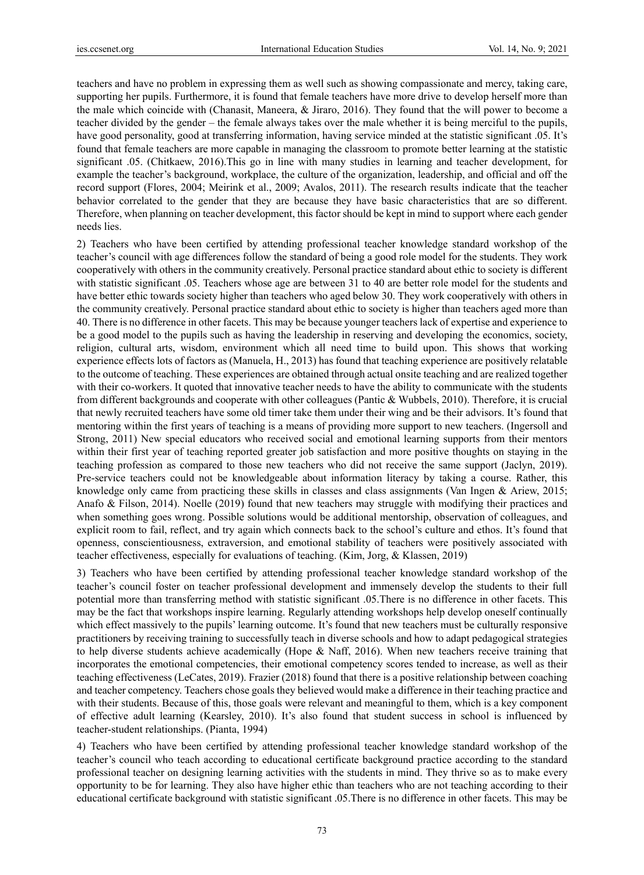teachers and have no problem in expressing them as well such as showing compassionate and mercy, taking care, supporting her pupils. Furthermore, it is found that female teachers have more drive to develop herself more than the male which coincide with (Chanasit, Maneera, & Jiraro, 2016). They found that the will power to become a teacher divided by the gender – the female always takes over the male whether it is being merciful to the pupils, have good personality, good at transferring information, having service minded at the statistic significant .05. It's found that female teachers are more capable in managing the classroom to promote better learning at the statistic significant .05. (Chitkaew, 2016).This go in line with many studies in learning and teacher development, for example the teacher's background, workplace, the culture of the organization, leadership, and official and off the record support (Flores, 2004; Meirink et al., 2009; Avalos, 2011). The research results indicate that the teacher behavior correlated to the gender that they are because they have basic characteristics that are so different. Therefore, when planning on teacher development, this factor should be kept in mind to support where each gender needs lies.

2) Teachers who have been certified by attending professional teacher knowledge standard workshop of the teacher's council with age differences follow the standard of being a good role model for the students. They work cooperatively with others in the community creatively. Personal practice standard about ethic to society is different with statistic significant .05. Teachers whose age are between 31 to 40 are better role model for the students and have better ethic towards society higher than teachers who aged below 30. They work cooperatively with others in the community creatively. Personal practice standard about ethic to society is higher than teachers aged more than 40. There is no difference in other facets. This may be because younger teachers lack of expertise and experience to be a good model to the pupils such as having the leadership in reserving and developing the economics, society, religion, cultural arts, wisdom, environment which all need time to build upon. This shows that working experience effects lots of factors as (Manuela, H., 2013) has found that teaching experience are positively relatable to the outcome of teaching. These experiences are obtained through actual onsite teaching and are realized together with their co-workers. It quoted that innovative teacher needs to have the ability to communicate with the students from different backgrounds and cooperate with other colleagues (Pantic & Wubbels, 2010). Therefore, it is crucial that newly recruited teachers have some old timer take them under their wing and be their advisors. It's found that mentoring within the first years of teaching is a means of providing more support to new teachers. (Ingersoll and Strong, 2011) New special educators who received social and emotional learning supports from their mentors within their first year of teaching reported greater job satisfaction and more positive thoughts on staying in the teaching profession as compared to those new teachers who did not receive the same support (Jaclyn, 2019). Pre-service teachers could not be knowledgeable about information literacy by taking a course. Rather, this knowledge only came from practicing these skills in classes and class assignments (Van Ingen & Ariew, 2015; Anafo & Filson, 2014). Noelle (2019) found that new teachers may struggle with modifying their practices and when something goes wrong. Possible solutions would be additional mentorship, observation of colleagues, and explicit room to fail, reflect, and try again which connects back to the school's culture and ethos. It's found that openness, conscientiousness, extraversion, and emotional stability of teachers were positively associated with teacher effectiveness, especially for evaluations of teaching. (Kim, Jorg, & Klassen, 2019)

3) Teachers who have been certified by attending professional teacher knowledge standard workshop of the teacher's council foster on teacher professional development and immensely develop the students to their full potential more than transferring method with statistic significant .05.There is no difference in other facets. This may be the fact that workshops inspire learning. Regularly attending workshops help develop oneself continually which effect massively to the pupils' learning outcome. It's found that new teachers must be culturally responsive practitioners by receiving training to successfully teach in diverse schools and how to adapt pedagogical strategies to help diverse students achieve academically (Hope & Naff, 2016). When new teachers receive training that incorporates the emotional competencies, their emotional competency scores tended to increase, as well as their teaching effectiveness (LeCates, 2019). Frazier (2018) found that there is a positive relationship between coaching and teacher competency. Teachers chose goals they believed would make a difference in their teaching practice and with their students. Because of this, those goals were relevant and meaningful to them, which is a key component of effective adult learning (Kearsley, 2010). It's also found that student success in school is influenced by teacher-student relationships. (Pianta, 1994)

4) Teachers who have been certified by attending professional teacher knowledge standard workshop of the teacher's council who teach according to educational certificate background practice according to the standard professional teacher on designing learning activities with the students in mind. They thrive so as to make every opportunity to be for learning. They also have higher ethic than teachers who are not teaching according to their educational certificate background with statistic significant .05.There is no difference in other facets. This may be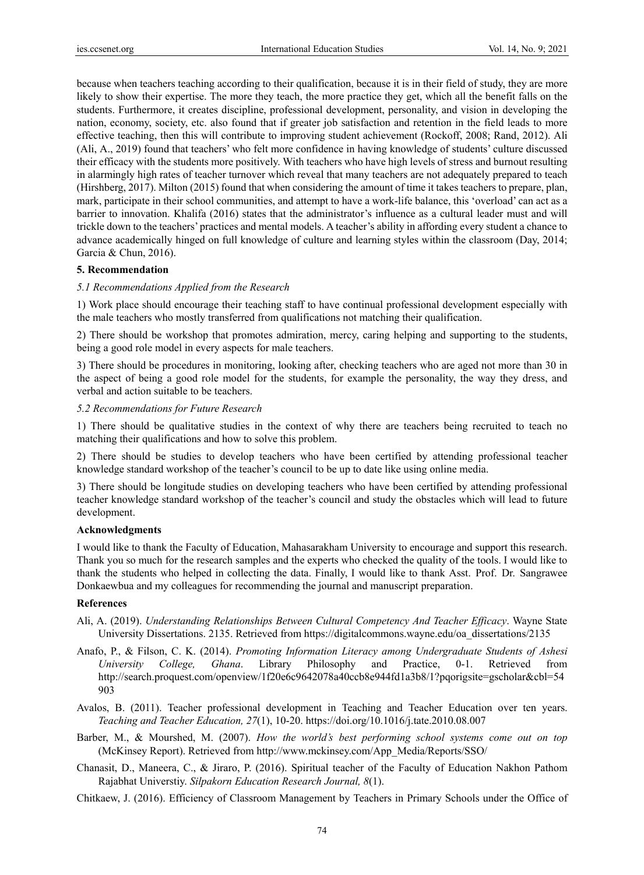because when teachers teaching according to their qualification, because it is in their field of study, they are more likely to show their expertise. The more they teach, the more practice they get, which all the benefit falls on the students. Furthermore, it creates discipline, professional development, personality, and vision in developing the nation, economy, society, etc. also found that if greater job satisfaction and retention in the field leads to more effective teaching, then this will contribute to improving student achievement (Rockoff, 2008; Rand, 2012). Ali (Ali, A., 2019) found that teachers' who felt more confidence in having knowledge of students' culture discussed their efficacy with the students more positively. With teachers who have high levels of stress and burnout resulting in alarmingly high rates of teacher turnover which reveal that many teachers are not adequately prepared to teach (Hirshberg, 2017). Milton (2015) found that when considering the amount of time it takes teachers to prepare, plan, mark, participate in their school communities, and attempt to have a work-life balance, this 'overload' can act as a barrier to innovation. Khalifa (2016) states that the administrator's influence as a cultural leader must and will trickle down to the teachers' practices and mental models. A teacher's ability in affording every student a chance to advance academically hinged on full knowledge of culture and learning styles within the classroom (Day, 2014; Garcia & Chun, 2016).

#### **5. Recommendation**

#### *5.1 Recommendations Applied from the Research*

1) Work place should encourage their teaching staff to have continual professional development especially with the male teachers who mostly transferred from qualifications not matching their qualification.

2) There should be workshop that promotes admiration, mercy, caring helping and supporting to the students, being a good role model in every aspects for male teachers.

3) There should be procedures in monitoring, looking after, checking teachers who are aged not more than 30 in the aspect of being a good role model for the students, for example the personality, the way they dress, and verbal and action suitable to be teachers.

## *5.2 Recommendations for Future Research*

1) There should be qualitative studies in the context of why there are teachers being recruited to teach no matching their qualifications and how to solve this problem.

2) There should be studies to develop teachers who have been certified by attending professional teacher knowledge standard workshop of the teacher's council to be up to date like using online media.

3) There should be longitude studies on developing teachers who have been certified by attending professional teacher knowledge standard workshop of the teacher's council and study the obstacles which will lead to future development.

#### **Acknowledgments**

I would like to thank the Faculty of Education, Mahasarakham University to encourage and support this research. Thank you so much for the research samples and the experts who checked the quality of the tools. I would like to thank the students who helped in collecting the data. Finally, I would like to thank Asst. Prof. Dr. Sangrawee Donkaewbua and my colleagues for recommending the journal and manuscript preparation.

#### **References**

- Ali, A. (2019). *Understanding Relationships Between Cultural Competency And Teacher Efficacy*. Wayne State University Dissertations. 2135. Retrieved from https://digitalcommons.wayne.edu/oa\_dissertations/2135
- Anafo, P., & Filson, C. K. (2014). *Promoting Information Literacy among Undergraduate Students of Ashesi University College, Ghana*. Library Philosophy and Practice, 0-1. Retrieved from http://search.proquest.com/openview/1f20e6c9642078a40ccb8e944fd1a3b8/1?pqorigsite=gscholar&cbl=54 903
- Avalos, B. (2011). Teacher professional development in Teaching and Teacher Education over ten years. *Teaching and Teacher Education, 27*(1), 10-20. https://doi.org/10.1016/j.tate.2010.08.007
- Barber, M., & Mourshed, M. (2007). *How the world's best performing school systems come out on top*  (McKinsey Report). Retrieved from http://www.mckinsey.com/App\_Media/Reports/SSO/
- Chanasit, D., Maneera, C., & Jiraro, P. (2016). Spiritual teacher of the Faculty of Education Nakhon Pathom Rajabhat Universtiy. *Silpakorn Education Research Journal, 8*(1).

Chitkaew, J. (2016). Efficiency of Classroom Management by Teachers in Primary Schools under the Office of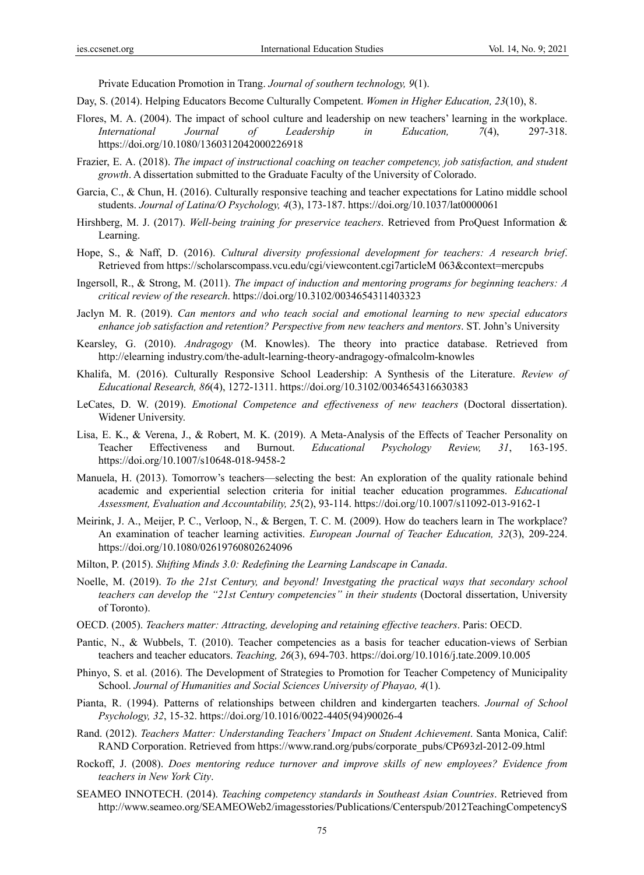Private Education Promotion in Trang. *Journal of southern technology, 9*(1).

- Day, S. (2014). Helping Educators Become Culturally Competent. *Women in Higher Education, 23*(10), 8.
- Flores, M. A. (2004). The impact of school culture and leadership on new teachers' learning in the workplace. *International Journal of Leadership in Education, 7*(4), 297-318. https://doi.org/10.1080/1360312042000226918
- Frazier, E. A. (2018). *The impact of instructional coaching on teacher competency, job satisfaction, and student growth*. A dissertation submitted to the Graduate Faculty of the University of Colorado.
- Garcia, C., & Chun, H. (2016). Culturally responsive teaching and teacher expectations for Latino middle school students. *Journal of Latina/O Psychology, 4*(3), 173-187. https://doi.org/10.1037/lat0000061
- Hirshberg, M. J. (2017). *Well-being training for preservice teachers*. Retrieved from ProQuest Information & Learning.
- Hope, S., & Naff, D. (2016). *Cultural diversity professional development for teachers: A research brief*. Retrieved from https://scholarscompass.vcu.edu/cgi/viewcontent.cgi7articleM 063&context=mercpubs
- Ingersoll, R., & Strong, M. (2011). *The impact of induction and mentoring programs for beginning teachers: A critical review of the research*. https://doi.org/10.3102/0034654311403323
- Jaclyn M. R. (2019). *Can mentors and who teach social and emotional learning to new special educators enhance job satisfaction and retention? Perspective from new teachers and mentors*. ST. John's University
- Kearsley, G. (2010). *Andragogy* (M. Knowles). The theory into practice database. Retrieved from http://elearning industry.com/the-adult-learning-theory-andragogy-ofmalcolm-knowles
- Khalifa, M. (2016). Culturally Responsive School Leadership: A Synthesis of the Literature. *Review of Educational Research, 86*(4), 1272-1311. https://doi.org/10.3102/0034654316630383
- LeCates, D. W. (2019). *Emotional Competence and effectiveness of new teachers* (Doctoral dissertation). Widener University.
- Lisa, E. K., & Verena, J., & Robert, M. K. (2019). A Meta-Analysis of the Effects of Teacher Personality on Teacher Effectiveness and Burnout. *Educational Psychology Review, 31*, 163-195. https://doi.org/10.1007/s10648-018-9458-2
- Manuela, H. (2013). Tomorrow's teachers—selecting the best: An exploration of the quality rationale behind academic and experiential selection criteria for initial teacher education programmes. *Educational Assessment, Evaluation and Accountability, 25*(2), 93-114. https://doi.org/10.1007/s11092-013-9162-1
- Meirink, J. A., Meijer, P. C., Verloop, N., & Bergen, T. C. M. (2009). How do teachers learn in The workplace? An examination of teacher learning activities. *European Journal of Teacher Education, 32*(3), 209-224. https://doi.org/10.1080/02619760802624096
- Milton, P. (2015). *Shifting Minds 3.0: Redefining the Learning Landscape in Canada*.
- Noelle, M. (2019). *To the 21st Century, and beyond! Investgating the practical ways that secondary school teachers can develop the "21st Century competencies" in their students* (Doctoral dissertation, University of Toronto).
- OECD. (2005). *Teachers matter: Attracting, developing and retaining effective teachers*. Paris: OECD.
- Pantic, N., & Wubbels, T. (2010). Teacher competencies as a basis for teacher education-views of Serbian teachers and teacher educators. *Teaching, 26*(3), 694-703. https://doi.org/10.1016/j.tate.2009.10.005
- Phinyo, S. et al. (2016). The Development of Strategies to Promotion for Teacher Competency of Municipality School. *Journal of Humanities and Social Sciences University of Phayao, 4*(1).
- Pianta, R. (1994). Patterns of relationships between children and kindergarten teachers. *Journal of School Psychology, 32*, 15-32. https://doi.org/10.1016/0022-4405(94)90026-4
- Rand. (2012). *Teachers Matter: Understanding Teachers' Impact on Student Achievement*. Santa Monica, Calif: RAND Corporation. Retrieved from https://www.rand.org/pubs/corporate\_pubs/CP693zl-2012-09.html
- Rockoff, J. (2008). *Does mentoring reduce turnover and improve skills of new employees? Evidence from teachers in New York City*.
- SEAMEO INNOTECH. (2014). *Teaching competency standards in Southeast Asian Countries*. Retrieved from http://www.seameo.org/SEAMEOWeb2/imagesstories/Publications/Centerspub/2012TeachingCompetencyS